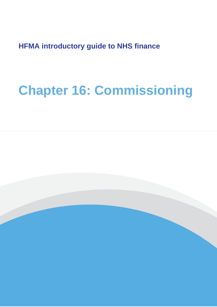**HFMA introductory guide to NHS finance**

# **Chapter 16: Commissioning**

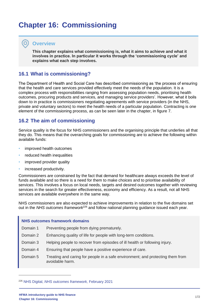## **Chapter 16: Commissioning**

### **Overview**

**This chapter explains what commissioning is, what it aims to achieve and what it involves in practice. In particular it works through the 'commissioning cycle' and explains what each step involves.**

## **16.1 What is commissioning?**

The Department of Health and Social Care has described commissioning as 'the process of ensuring that the health and care services provided effectively meet the needs of the population. It is a complex process with responsibilities ranging from assessing population needs, prioritising health outcomes, procuring products and services, and managing service providers'. However, what it boils down to in practice is commissioners negotiating agreements with service providers (in the NHS, private and voluntary sectors) to meet the health needs of a particular population. Contracting is one element of the commissioning process, as can be seen later in the chapter, in figure 7.

## **16.2 The aim of commissioning**

Service quality is the focus for NHS commissioners and the organising principle that underlies all that they do. This means that the overarching goals for commissioning are to achieve the following within available funds:

- improved health outcomes
- reduced health inequalities
- improved provider quality
- increased productivity.

Commissioners are constrained by the fact that demand for healthcare always exceeds the level of funds available and so there is a need for them to make choices and to prioritise availability of services. This involves a focus on local needs, targets and desired outcomes together with reviewing services in the search for greater effectiveness, economy and efficiency. As a result, not all NHS services are available everywhere in the same way.

NHS commissioners are also expected to achieve improvements in relation to the five domains set out in the *NHS outcomes framework*<sup>226</sup> and follow national planning guidance issued each year.

#### **NHS outcomes framework domains**

- Domain 1 Preventing people from dying prematurely.
- Domain 2 Enhancing quality of life for people with long-term conditions.
- Domain 3 Helping people to recover from episodes of ill health or following injury.
- Domain 4 Ensuring that people have a positive experience of care.
- Domain 5 Treating and caring for people in a safe environment; and protecting them from avoidable harm.

<sup>226</sup> NHS Digital, *[NHS outcomes framework,](https://digital.nhs.uk/data-and-information/publications/statistical/nhs-outcomes-framework)* February 2021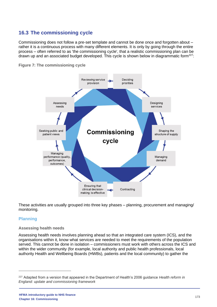## **16.3 The commissioning cycle**

Commissioning does not follow a pre-set template and cannot be done once and forgotten about – rather it is a continuous process with many different elements. It is only by going through the entire process – often referred to as 'the commissioning cycle', that a realistic commissioning plan can be drawn up and an associated budget developed. This cycle is shown below in diagrammatic form<sup>227</sup>:





These activities are usually grouped into three key phases – planning, procurement and managing/ monitoring.

#### **Planning**

#### **Assessing health needs**

Assessing health needs involves planning ahead so that an integrated care system (ICS), and the organisations within it, know what services are needed to meet the requirements of the population served. This cannot be done in isolation – commissioners must work with others across the ICS and within the wider community (for example, local authority and public health professionals, local authority Health and Wellbeing Boards (HWBs), patients and the local community) to gather the

<sup>227</sup> Adapted from a version that appeared in the Department of Health's 2006 guidance *Health reform in England: update and commissioning framework*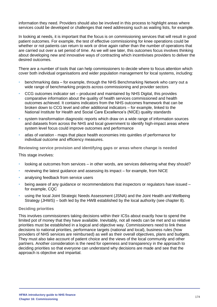information they need. Providers should also be involved in this process to highlight areas where services could be developed or challenges that need addressing such as waiting lists, for example.

In looking at needs, it is important that the focus is on commissioning services that will result in good patient outcomes. For example, the test of effective commissioning for knee operations could be whether or not patients can return to work or drive again rather than the number of operations that are carried out over a set period of time. As we will see later, this outcomes focus involves thinking about developing new and innovative ways of contracting which incentivises providers to deliver the desired outcomes.

There are a number of tools that can help commissioners to decide where to focus attention which cover both individual organisations and wider population management for local systems, including:

- benchmarking data for example, through the NHS Benchmarking Network who carry out a wide range of benchmarking projects across commissioning and provider sectors
- CCG outcomes indicator set produced and maintained by NHS Digital, this provides comparative information about the quality of health services commissioned and health outcomes achieved. It contains indicators from the NHS outcomes framework that can be broken down to CCG level and other additional indicators – for example, linked to the National Institute for Health and Social Care Excellence's (NICE) quality standards
- system transformation diagnostic reports which draw on a wide range of information sources and datasets from across the NHS and local government to identify high-impact areas where system level focus could improve outcomes and performance
- atlas of variation maps that place health economies into quintiles of performance for individual outcome and efficiency measures.

**Reviewing service provision and identifying gaps or areas where change is needed**

This stage involves:

- looking at outcomes from services in other words, are services delivering what they should?
- reviewing the latest guidance and assessing its impact for example, from NICE
- analysing feedback from service users
- being aware of any guidance or recommendations that inspectors or regulators have issued for example, CQC
- using the local Joint Strategic Needs Assessment (JSNA) and the Joint Health and Wellbeing Strategy (JHWS) – both led by the HWB established by the local authority (see chapter 8).

#### **Deciding priorities**

This involves commissioners taking decisions within their ICSs about exactly how to spend the limited pot of money that they have available. Inevitably, not all needs can be met and so relative priorities must be established in a logical and objective way. Commissioners need to link these decisions to national priorities, performance targets (national and local), business rules (how providers of NHS services are reimbursed) as well as their overall objectives, plans and budgets. They must also take account of patient choice and the views of the local community and other partners. Another consideration is the need for openness and transparency in the approach to deciding priorities so that everyone can understand why decisions are made and see that the approach is objective and impartial.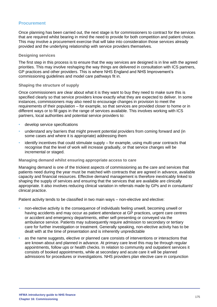#### **Procurement**

Once planning has been carried out, the next stage is for commissioners to contract for the services that are required whilst bearing in mind the need to provide for both competition and patient choice. This may involve a procurement exercise that will take into consideration those services already provided and the underlying relationship with service providers themselves.

#### **Designing services**

The first step in this process is to ensure that the way services are designed is in line with the agreed priorities. This may involve reshaping the way things are delivered in consultation with ICS partners, GP practices and other providers. This is where NHS England and NHS Improvement's commissioning guidelines and model care pathways fit in.

#### **Shaping the structure of supply**

Once commissioners are clear about what it is they want to buy they need to make sure this is specified clearly so that service providers know exactly what they are expected to deliver. In some instances, commissioners may also need to encourage changes in provision to meet the requirements of their population – for example, so that services are provided closer to home or in different ways or to fill gaps in the range of services available. This involves working with ICS partners, local authorities and potential service providers to:

- develop service specifications
- understand any barriers that might prevent potential providers from coming forward and (in some cases and where it is appropriate) addressing them
- identify incentives that could stimulate supply for example, using multi-year contracts that recognise that the level of work will increase gradually, or that service changes will be incremental or staged.

#### **Managing demand whilst ensuring appropriate access to care**

Managing demand is one of the trickiest aspects of commissioning as the care and services that patients need during the year must be matched with contracts that are agreed in advance, available capacity and financial resources. Effective demand management is therefore inextricably linked to shaping the supply of services and ensuring that the services that are available are clinically appropriate. It also involves reducing clinical variation in referrals made by GPs and in consultants' clinical practice.

Patient activity tends to be classified in two main ways – non-elective and elective:

- non-elective activity is the consequence of individuals feeling unwell, becoming unwell or having accidents and may occur as patient attendance at GP practices, urgent care centres or accident and emergency departments, either self-presenting or conveyed via the ambulance service. Patients may subsequently require admission to secondary or tertiary care for further investigation or treatment. Generally speaking, non-elective activity has to be dealt with at the time of presentation and is inherently unpredictable
- as the name suggests, elective or planned care consists of interventions or interactions that are known about and planned in advance. At primary care level this may be through regular appointments, follow ups or health checks. In relation to community and outpatient services it consists of booked appointments, while at secondary and acute care it will be planned admissions for procedures or investigations. NHS providers plan elective care in conjunction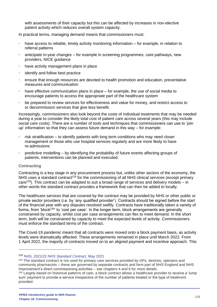with assessments of their capacity but this can be affected by increases in non-elective patient activity which reduces overall system capacity.

In practical terms, managing demand means that commissioners must:

- have access to reliable, timely activity monitoring information for example, in relation to referral patterns
- anticipate in-year changes for example in screening programmes, care pathways, new providers, NICE guidance
- have activity management plans in place
- identify and follow best practice
- ensure that enough resources are devoted to health promotion and education, preventative measures and communication
- have effective communication plans in place for example, the use of social media to encourage patients to access the appropriate part of the healthcare system
- be prepared to review services for effectiveness and value for money, and restrict access to or decommission services that give less benefit.

Increasingly, commissioners also look beyond the costs of individual treatments that may be needed during a year to consider the likely total cost of patient care across several years (this may include social care costs). There are a number of tools and techniques that commissioners can use to 'join up' information so that they can assess future demand in this way – for example:

- risk stratification to identify patients with long term conditions who may need closer management or those who use hospital services regularly and are more likely to have re-admissions
- predictive modelling by identifying the probability of future events affecting groups of patients, interventions can be planned and executed.

#### **Contracting**

Contracting is a key stage in any procurement process but, unlike other sectors of the economy, the NHS uses a standard contract<sup>228</sup> for the commissioning of all NHS clinical services (except primary care<sup>229</sup>). This contract can be adapted to suit a broad range of services and delivery models – in other words the standard contract provides a framework that can then be added to locally.

The healthcare services that are covered by the contract may be provided by NHS or other public or private sector providers (i.e. by 'any qualified provider'). Contracts should be signed before the start of the financial year with any disputes resolved swiftly. Contracts have traditionally taken a variety of forms, from 'block<sup>230</sup>' to 'cost per case'. In the longer term, block arrangements are generally constrained by capacity, whilst cost per case arrangements can flex to meet demand. In the short term, both will be constrained by capacity to meet the expected levels of activity. Commissioners must enforce the standard terms of the contract.

The Covid-19 pandemic meant that all contracts were moved onto a block payment basis, as activity levels were dramatically affected. These arrangements remained in place until March 2022. From 1 April 2022, the majority of contracts moved on to an aligned payment and incentive approach. This

<sup>228</sup> NHS, *[2021/22 NHS Standard Contract](https://www.england.nhs.uk/nhs-standard-contract/21-22/)*, May 2021

<sup>&</sup>lt;sup>229</sup> The standard contract is not used for primary care services provided by GPs, dentists, opticians and community pharmacists – these are governed by separate contracts and form part of NHS England and NHS Improvement's direct commissioning activities – see chapters 4 and 6 for more details.

<sup>&</sup>lt;sup>230</sup> Largely based on historical patterns of care, a block contract allows a healthcare provider to receive a 'lump sum' payment to provide a service irrespective of the number of patients treated or the type of treatment provided.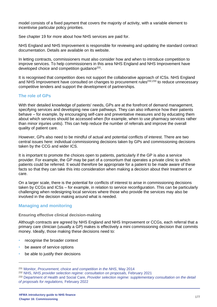model consists of a fixed payment that covers the majority of activity, with a variable element to incentivise particular policy priorities.

See chapter 19 for more about how NHS services are paid for.

NHS England and NHS Improvement is responsible for reviewing and updating the standard contract documentation. Details are available on its website.

In letting contracts, commissioners must also consider how and when to introduce competition to improve services. To help commissioners in this area NHS England and NHS Improvement have developed choice and competition guidance<sup>231</sup>.

It is recognised that competition does not support the collaborative approach of ICSs. NHS England and NHS Improvement have consulted on changes to procurement rules<sup>232,233</sup> to reduce unnecessary competitive tenders and support the development of partnerships.

#### **The role of GPs**

With their detailed knowledge of patients' needs, GPs are at the forefront of demand management, specifying services and developing new care pathways. They can also influence how their patients behave – for example, by encouraging self-care and preventative measures and by educating them about which services should be accessed when (for example, when to use pharmacy services rather than minor injuries units). This can help reduce the number of referrals and improve the overall quality of patient care.

However, GPs also need to be mindful of actual and potential conflicts of interest. There are two central issues here: individual commissioning decisions taken by GPs and commissioning decisions taken by the CCG and wider ICS.

It is important to promote the choices open to patients, particularly if the GP is also a service provider. For example, the GP may be part of a consortium that operates a private clinic to which patients could be referred. It would therefore be appropriate for a patient to be made aware of these facts so that they can take this into consideration when making a decision about their treatment or care.

On a larger scale, there is the potential for conflicts of interest to arise in commissioning decisions taken by CCGs and ICSs – for example, in relation to service reconfiguration. This can be particularly challenging when redesigning local services where those who provide the services may also be involved in the decision making around what is needed.

#### **Managing and monitoring**

#### **Ensuring effective clinical decision-making**

Although contracts are agreed by NHS England and NHS Improvement or CCGs, each referral that a primary care clinician (usually a GP) makes is effectively a mini commissioning decision that commits money. Ideally, those making these decisions need to:

- recognise the broader context
- be aware of service options
- be able to justify their decisions

<sup>231</sup> Monitor, *[Procurement, choice and competition in the NHS](https://www.gov.uk/government/collections/procurement-choice-and-competition-in-the-nhs-documents-and-guidance)*, May 2014

<sup>232</sup> NHS, *[NHS provider selection regime: consultation on proposals,](https://www.england.nhs.uk/publication/nhs-provider-selection-regime-consultation-on-proposals/)* February 2021

<sup>233</sup> Department of Health and Social Care, *[Provider selection regime: supplementary consultation](https://www.gov.uk/government/consultations/provider-selection-regime-supplementary-consultation-on-the-detail-of-proposals-for-regulations) on the detail [of proposals for regulations,](https://www.gov.uk/government/consultations/provider-selection-regime-supplementary-consultation-on-the-detail-of-proposals-for-regulations)* February 2022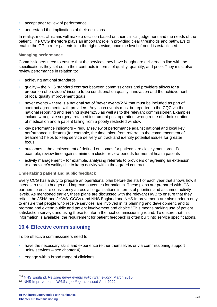- accept peer review of performance
- understand the implications of their decisions.

In reality, most clinicians will make a decision based on their clinical judgement and the needs of the patient. The CCG therefore plays an important role in providing clear thresholds and pathways to enable the GP to refer patients into the right service, once the level of need is established.

#### **Managing performance**

Commissioners need to ensure that the services they have bought are delivered in line with the specifications they set out in their contracts in terms of quality, quantity, and price. They must also review performance in relation to:

- achieving national standards
- quality the NHS standard contract between commissioners and providers allows for a proportion of providers' income to be conditional on quality, innovation and the achievement of local quality improvement goals
- never events there is a national set of 'never events'234 that must be included as part of contract agreements with providers. Any such events must be reported to the CQC via the national reporting and learning system235 as well as to the relevant commissioner. Examples include wrong site surgery; retained instrument post operation; wrong route of administration of medication and a patient falling from a poorly restricted window
- key performance indicators regular review of performance against national and local key performance indicators (for example, the time taken from referral to the commencement of treatment) helps to keep service delivery on track and identify potential issues for greater focus
- outcomes the achievement of defined outcomes for patients are closely monitored. For example, review time against minimum cluster review periods for mental health patients
- activity management for example, analysing referrals to providers or agreeing an extension to a provider's waiting list to keep activity within the agreed contract.

#### **Undertaking patient and public feedback**

Every CCG has a duty to prepare an operational plan before the start of each year that shows how it intends to use its budget and improve outcomes for patients. These plans are prepared with ICS partners to ensure consistency across all organisations in terms of priorities and assumed activity levels. As mentioned earlier, these plans are discussed with the relevant HWB to ensure that they reflect the JSNA and JHWS. CCGs (and NHS England and NHS Improvement) are also under a duty to ensure that people who receive services 'are involved in its planning and development, and to promote and extend public and patient involvement and choice.' This means making use of patient satisfaction surveys and using these to inform the next commissioning round. To ensure that this information is available, the requirement for patient feedback is often built into service specifications.

## **16.4 Effective commissioning**

To be effective commissioners need to:

- have the necessary skills and experience (either themselves or via commissioning support units/ services – see chapter 4)
- engage with a broad range of clinicians

<sup>234</sup> NHS England, *[Revised never events policy framework](https://www.england.nhs.uk/patientsafety/wp-content/uploads/sites/32/2015/04/never-evnts-pol-framwrk-apr2.pdf)*, March 2015 <sup>235</sup> NHS Improvement, *NRLS reporting,* [accessed April 2022](https://report.nrls.nhs.uk/nrlsreporting/Default.aspx)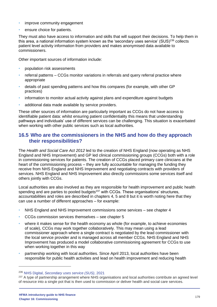- improve community engagement
- ensure choice for patients.

They must also have access to information and skills that will support their decisions. To help them in this area, a national information system known as the 'secondary uses service'  $(SUS)^{236}$  collects patient level activity information from providers and makes anonymised data available to commissioners.

Other important sources of information include:

- population risk assessments
- referral patterns CCGs monitor variations in referrals and query referral practice where appropriate
- details of past spending patterns and how this compares (for example, with other GP practices)
- information to monitor actual activity against plans and expenditure against budgets
- additional data made available by service providers.

These other sources of information are particularly important as CCGs do not have access to identifiable patient data: whilst ensuring patient confidentiality this means that understanding pathways and individuals' use of different services can be challenging. This situation is exacerbated when working with other public services such as local authorities.

## **16.5 Who are the commissioners in the NHS and how do they approach their responsibilities?**

The *Health and Social Care Act 2012* led to the creation of NHS England (now operating as NHS England and NHS Improvement) and GP led clinical commissioning groups (CCGs) both with a role in commissioning services for patients. The creation of CCGs placed primary care clinicians at the heart of the commissioning process – they are fully accountable for managing the funding they receive from NHS England and NHS Improvement and negotiating contracts with providers of services. NHS England and NHS Improvement also directly commissions some services itself and others jointly with CCGs.

Local authorities are also involved as they are responsible for health improvement and public health spending and are parties to pooled budgets<sup>237</sup> with CCGs. These organisations' structures, accountabilities and roles are described in chapters 4, 5 and 8 but it is worth noting here that they can use a number of different approaches – for example:

- NHS England and NHS Improvement commissions some services see chapter 4
- CCGs commission services themselves see chapter 5
- where it makes sense for the health economy as whole (for example, to achieve economies of scale), CCGs may work together collaboratively. This may mean using a lead commissioner approach where a single contract is negotiated by the lead commissioner with the local service provider and is managed across all member CCGs. NHS England and NHS Improvement has produced a model collaborative commissioning agreement for CCGs to use when working together in this way
- partnership working with local authorities. Since April 2013, local authorities have been responsible for public health activities and lead on health improvement and reducing health

<sup>236</sup> NHS Digital, *[Secondary uses service \(SUS\)](https://digital.nhs.uk/services/secondary-uses-service-sus)*, 2021

<sup>&</sup>lt;sup>237</sup> A type of partnership arrangement where NHS organisations and local authorities contribute an agreed level of resource into a single pot that is then used to commission or deliver health and social care services.